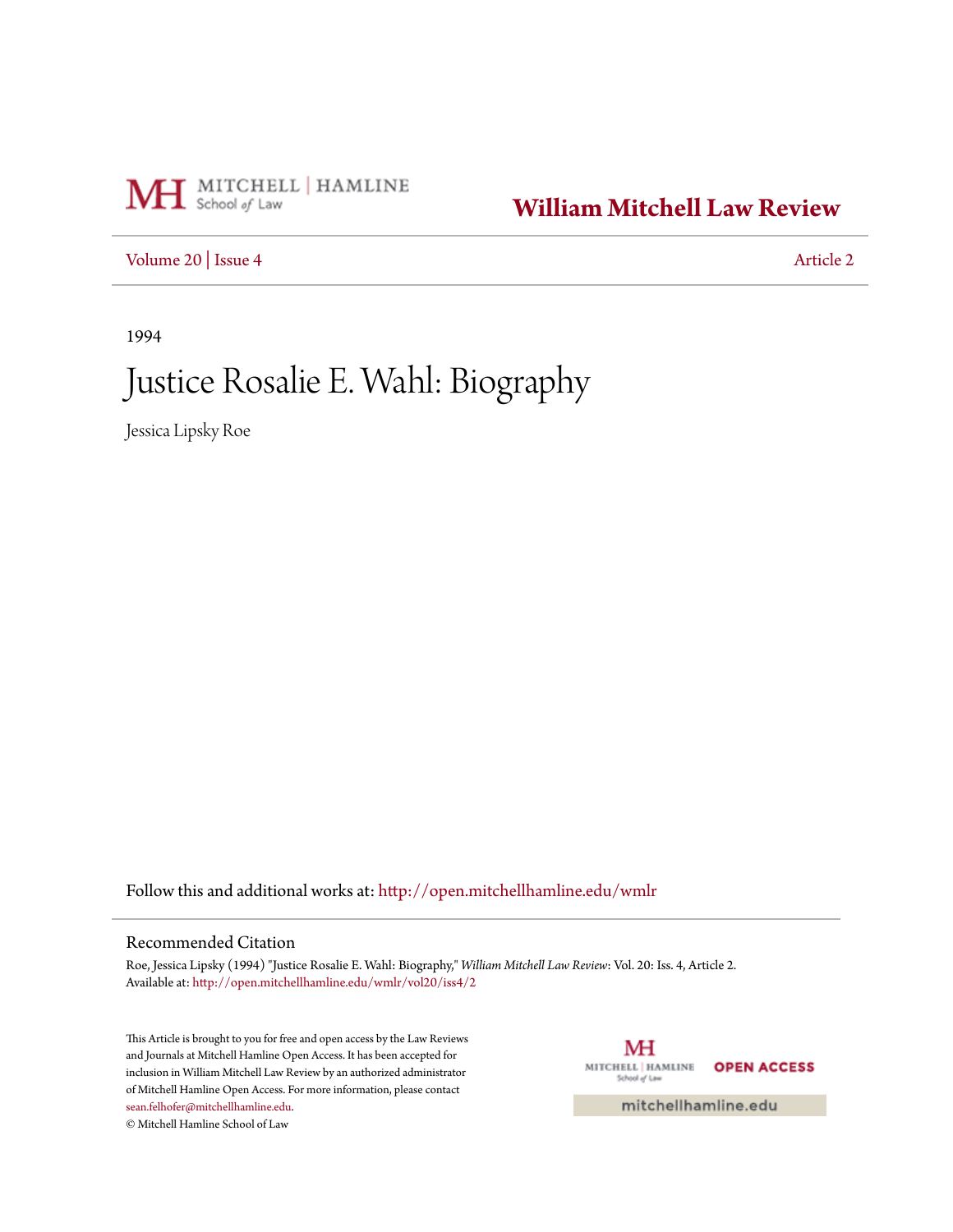# MH School of Law

### **[William Mitchell Law Review](http://open.mitchellhamline.edu/wmlr?utm_source=open.mitchellhamline.edu%2Fwmlr%2Fvol20%2Fiss4%2F2&utm_medium=PDF&utm_campaign=PDFCoverPages)**

[Volume 20](http://open.mitchellhamline.edu/wmlr/vol20?utm_source=open.mitchellhamline.edu%2Fwmlr%2Fvol20%2Fiss4%2F2&utm_medium=PDF&utm_campaign=PDFCoverPages) | [Issue 4](http://open.mitchellhamline.edu/wmlr/vol20/iss4?utm_source=open.mitchellhamline.edu%2Fwmlr%2Fvol20%2Fiss4%2F2&utm_medium=PDF&utm_campaign=PDFCoverPages) [Article 2](http://open.mitchellhamline.edu/wmlr/vol20/iss4/2?utm_source=open.mitchellhamline.edu%2Fwmlr%2Fvol20%2Fiss4%2F2&utm_medium=PDF&utm_campaign=PDFCoverPages)

1994

## Justice Rosalie E. Wahl: Biography

Jessica Lipsky Roe

Follow this and additional works at: [http://open.mitchellhamline.edu/wmlr](http://open.mitchellhamline.edu/wmlr?utm_source=open.mitchellhamline.edu%2Fwmlr%2Fvol20%2Fiss4%2F2&utm_medium=PDF&utm_campaign=PDFCoverPages)

#### Recommended Citation

Roe, Jessica Lipsky (1994) "Justice Rosalie E. Wahl: Biography," *William Mitchell Law Review*: Vol. 20: Iss. 4, Article 2. Available at: [http://open.mitchellhamline.edu/wmlr/vol20/iss4/2](http://open.mitchellhamline.edu/wmlr/vol20/iss4/2?utm_source=open.mitchellhamline.edu%2Fwmlr%2Fvol20%2Fiss4%2F2&utm_medium=PDF&utm_campaign=PDFCoverPages)

This Article is brought to you for free and open access by the Law Reviews and Journals at Mitchell Hamline Open Access. It has been accepted for inclusion in William Mitchell Law Review by an authorized administrator of Mitchell Hamline Open Access. For more information, please contact [sean.felhofer@mitchellhamline.edu](mailto:sean.felhofer@mitchellhamline.edu). © Mitchell Hamline School of Law

MH MITCHELL | HAMLINE **OPEN ACCESS** School of Law

mitchellhamline.edu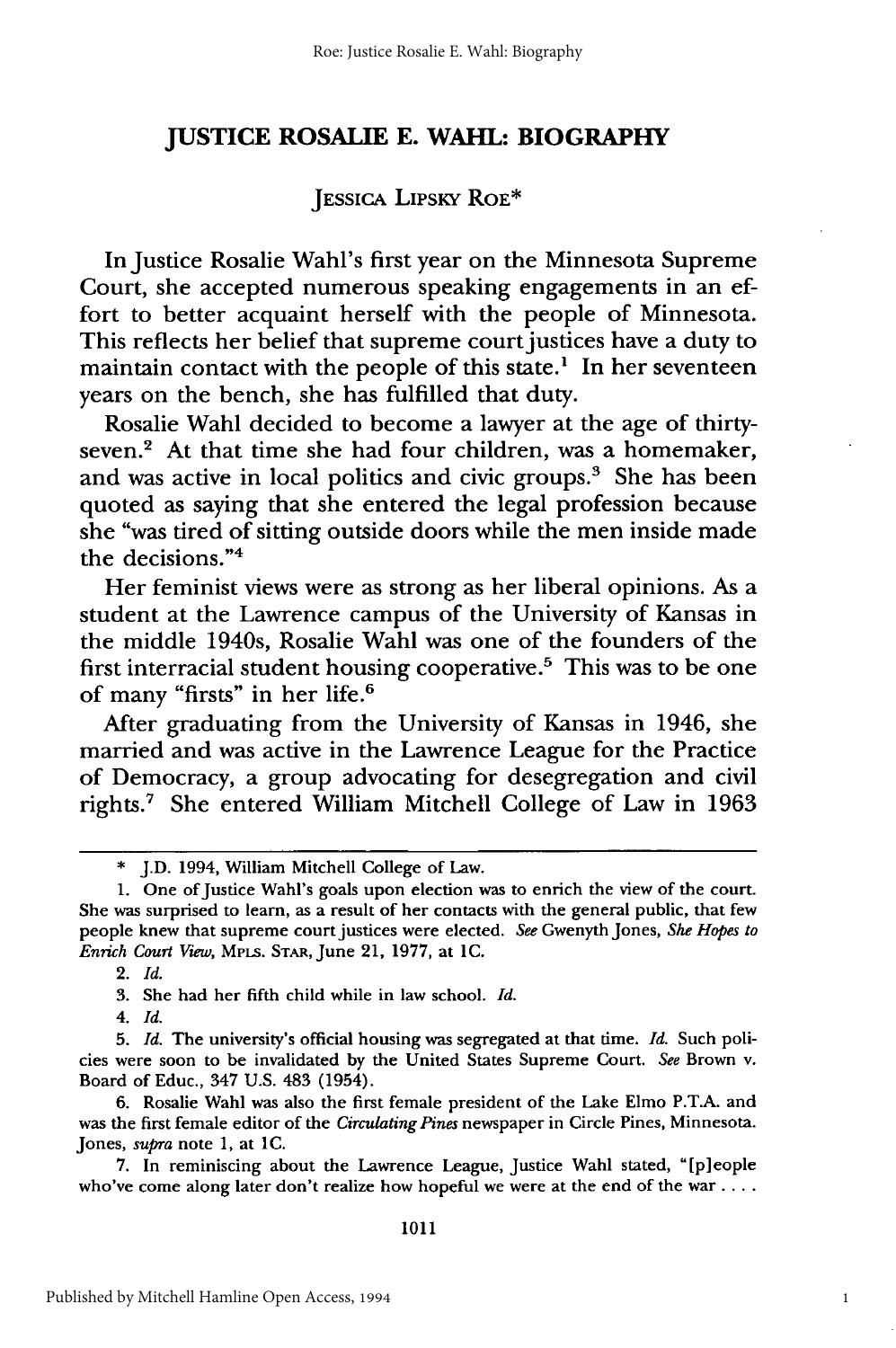#### **JUSTICE ROSALIE E. WAHL: BIOGRAPHY**

#### JESSICA LIPSKY ROE\*

In Justice Rosalie Wahl's first year on the Minnesota Supreme Court, she accepted numerous speaking engagements in an effort to better acquaint herself with the people of Minnesota. This reflects her belief that supreme court justices have a duty to maintain contact with the people of this state.<sup>1</sup> In her seventeen years on the bench, she has fulfilled that duty.

Rosalie Wahl decided to become a lawyer at the age of thirtyseven.<sup>2</sup> At that time she had four children, was a homemaker, and was active in local politics and civic groups.<sup>3</sup> She has been quoted as saying that she entered the legal profession because she "was tired of sitting outside doors while the men inside made the decisions."4

Her feminist views were as strong as her liberal opinions. As a student at the Lawrence campus of the University of Kansas in the middle 1940s, Rosalie Wahl was one of the founders of the first interracial student housing cooperative.5 This was to be one of many "firsts" in her life. <sup>6</sup>

After graduating from the University of Kansas in 1946, she married and was active in the Lawrence League for the Practice of Democracy, a group advocating for desegregation and civil rights.' She entered William Mitchell College of Law in 1963

*4. Id.*

6. Rosalie Wahl was also the first female president of the Lake Elmo P.T.A. and was the first female editor of the *Circulating Pines* newspaper in Circle Pines, Minnesota. Jones, *supra* note 1, at **IC.**

7. In reminiscing about the Lawrence League, Justice Wahl stated, "[p]eople who've come along later don't realize how hopeful we were at the end of the war ....

1

J.D. 1994, William Mitchell College of Law.

<sup>1.</sup> One of Justice Wahl's goals upon election was to enrich the view of the court. She was surprised to learn, as a result of her contacts with the general public, that few people knew that supreme court justices were elected. *See* Gwenyth Jones, *She Hopes to Enrich Court View,* MPLs. STAR, June 21, 1977, at **IC.**

<sup>2.</sup> *Id.*

<sup>3.</sup> She had her fifth child while in law school. *Id.*

<sup>5.</sup> *Id.* The university's official housing was segregated at that time. *Id.* Such policies were soon to be invalidated by the United States Supreme Court. *See* Brown v. Board of Educ., 347 U.S. 483 (1954).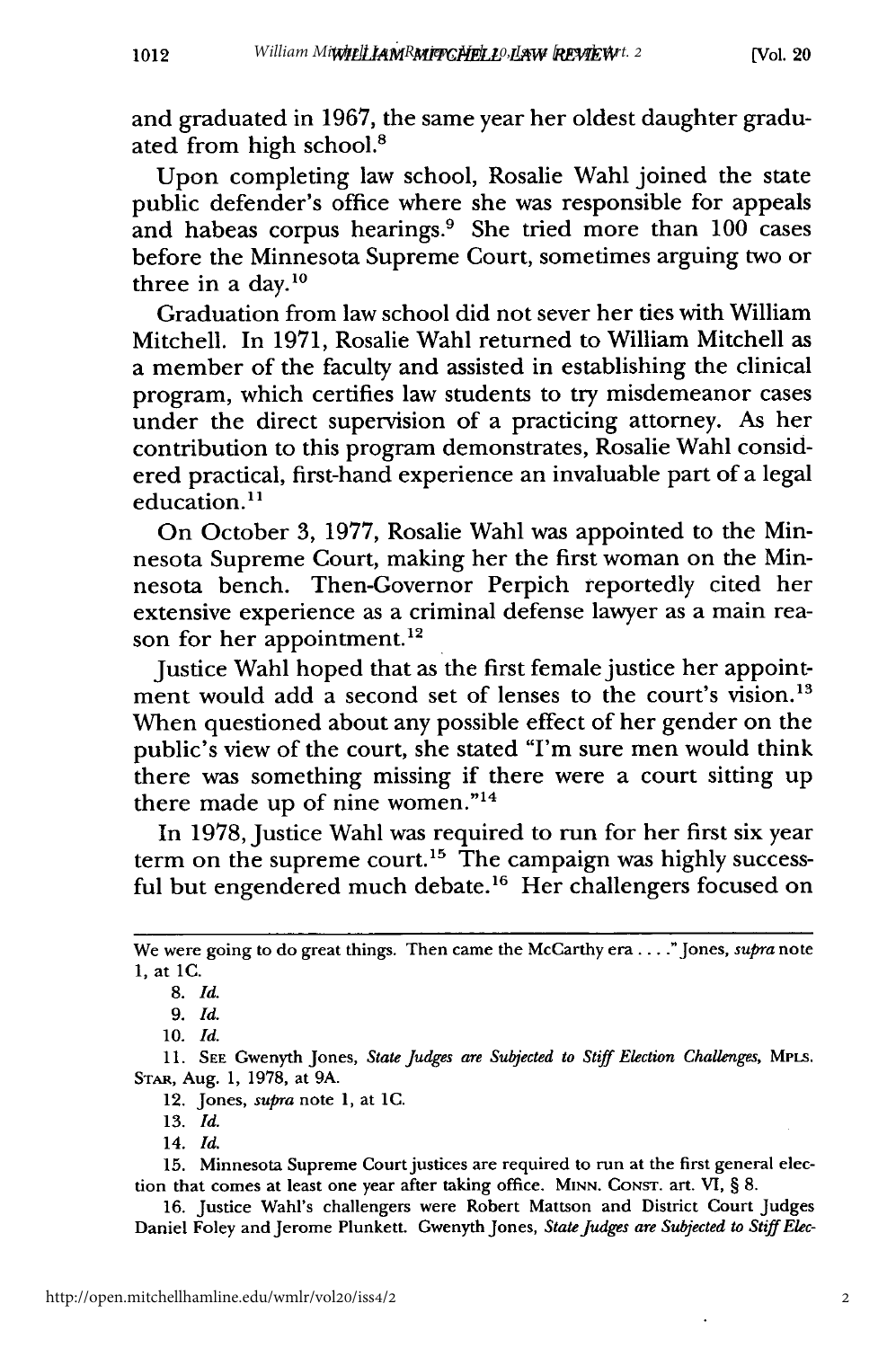and graduated in 1967, the same year her oldest daughter graduated from high school.<sup>8</sup>

Upon completing law school, Rosalie Wahl joined the state public defender's office where she was responsible for appeals and habeas corpus hearings.<sup>9</sup> She tried more than  $100$  cases before the Minnesota Supreme Court, sometimes arguing two or three in a day. $^{10}$ 

Graduation from law school did not sever her ties with William Mitchell. In 1971, Rosalie Wahl returned to William Mitchell as a member of the faculty and assisted in establishing the clinical program, which certifies law students to try misdemeanor cases under the direct supervision of a practicing attorney. As her contribution to this program demonstrates, Rosalie Wahl considered practical, first-hand experience an invaluable part of a legal education.<sup>11</sup>

On October **3,** 1977, Rosalie Wahl was appointed to the Minnesota Supreme Court, making her the first woman on the Minnesota bench. Then-Governor Perpich reportedly cited her extensive experience as a criminal defense lawyer as a main reason for her appointment.<sup>12</sup>

Justice Wahl hoped that as the first female justice her appointment would add a second set of lenses to the court's vision.<sup>13</sup> When questioned about any possible effect of her gender on the public's view of the court, she stated "I'm sure men would think there was something missing if there were a court sitting up there made up of nine women." $14$ 

In 1978, Justice Wahl was required to run for her first six year term on the supreme court.<sup>15</sup> The campaign was highly successful but engendered much debate.<sup>16</sup> Her challengers focused on

15. Minnesota Supreme Court justices are required to run at the first general election that comes at least one year after taking office. MINN. CONsT. art. **VI,** § **8.**

16. Justice Wahl's challengers were Robert Mattson and District Court Judges Daniel Foley and Jerome Plunkett. Gwenyth Jones, *State Judges are Subjected to StiffElec-*

We were going to do great things. Then came the McCarthy era... ."Jones, *supra* note 1, at **1C.**

<sup>8.</sup> *Id.*

<sup>9.</sup> *Id.*

<sup>10.</sup> *Id.*

<sup>11.</sup> SEE Gwenyth Jones, *State Judges are Subjected to Stiff Election Challenges,* MPLS. STAR, Aug. 1, 1978, at 9A.

<sup>12.</sup> Jones, *supra* note 1, at **IC.**

<sup>13.</sup> *Id.*

<sup>14.</sup> *Id.*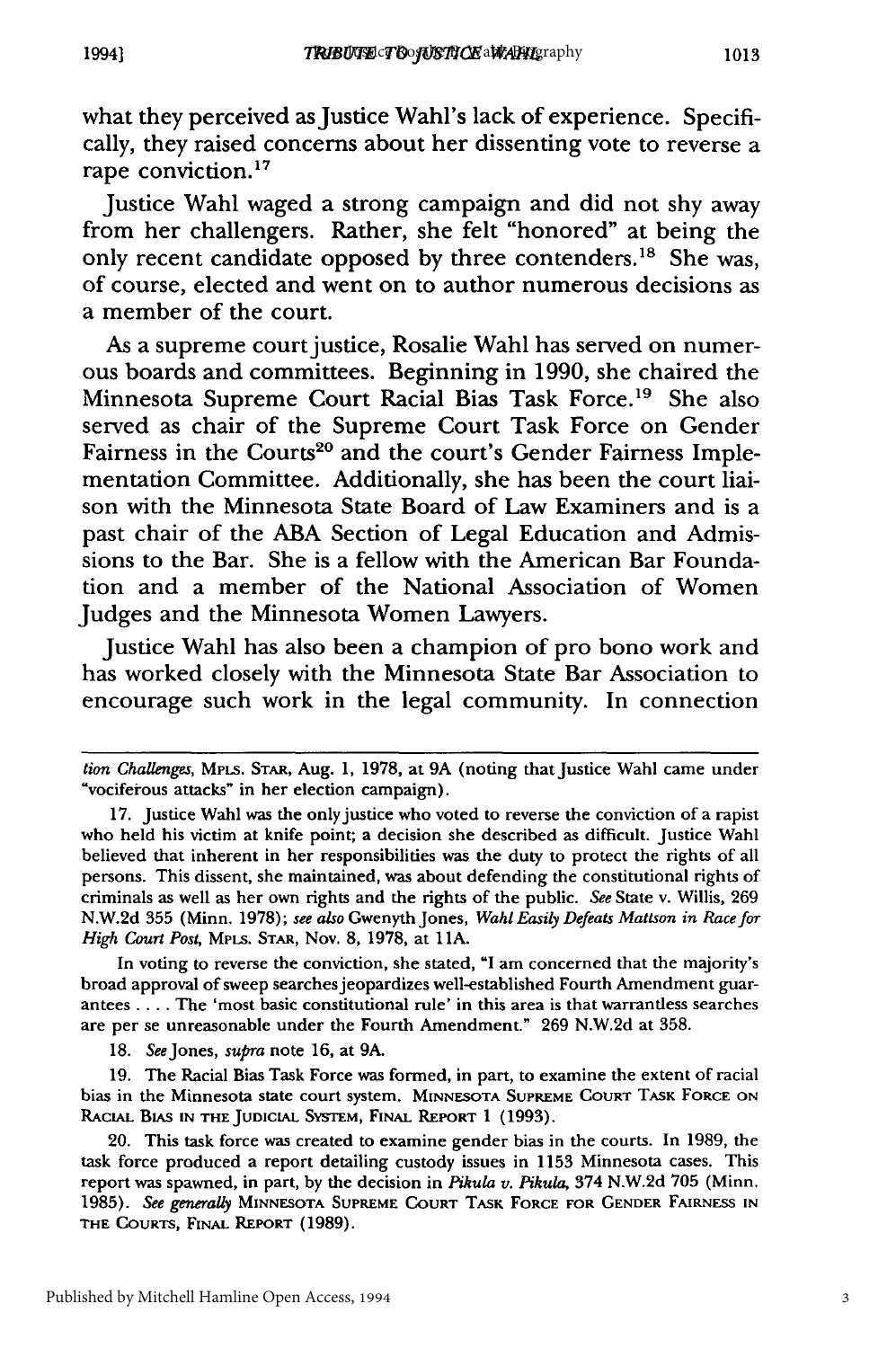what they perceived as Justice Wahl's lack of experience. Specifically, they raised concerns about her dissenting vote to reverse a rape conviction.<sup>17</sup>

Justice Wahl waged a strong campaign and did not shy away from her challengers. Rather, she felt "honored" at being the only recent candidate opposed **by** three contenders. 18 She was, of course, elected and went on to author numerous decisions as a member of the court.

As a supreme court justice, Rosalie Wahl has served on numerous boards and committees. Beginning in **1990,** she chaired the Minnesota Supreme Court Racial Bias Task Force.<sup>19</sup> She also served as chair of the Supreme Court Task Force on Gender Fairness in the Courts<sup>20</sup> and the court's Gender Fairness Implementation Committee. Additionally, she has been the court liaison with the Minnesota State Board of Law Examiners and is a past chair of the **ABA** Section of Legal Education and Admissions to the Bar. She is a fellow with the American Bar Foundation and a member of the National Association of Women Judges and the Minnesota Women Lawyers.

Justice Wahl has also been a champion of pro bono work and has worked closely with the Minnesota State Bar Association to encourage such work in the legal community. In connection

In voting to reverse the conviction, she stated, **"I** am concerned that the majority's broad approval of sweep searches jeopardizes well-established Fourth Amendment guarantees **....** The 'most basic constitutional rule' in this area is that warrantless searches are per se unreasonable under the Fourth Amendment." **269 N.W.2d** at **358.**

**18.** SeeJones, *supra* note **16,** at **9A.**

**19.** The Racial Bias Task Force was formed, in part, to examine the extent of racial bias in the Minnesota state court system. **MINNESOTA SUPREME COURT TASK FORCE ON RACIAL BIAS IN THE JUDICIAL SysTEM, FINAL REPORT 1 (1993).**

20. This task force was created to examine gender bias in the courts. In **1989,** the task force produced a report detailing custody issues in **1153** Minnesota cases. This report was spawned, in part, **by** the decision in *Pikula v. Pikula,* 374 **N.W.2d 705** (Minn. **1985).** *See generally* **MINNESOTA SUPREME COURT** TASK **FORCE FOR GENDER FAIRNESS IN THE COURTS, FINAL REPORT (1989).**

*tion Challenges,* **MPLs.** STAR, Aug. **1, 1978,** at **9A** (noting that Justice Wahl came under vociferous attacks" in her election campaign).

**<sup>17.</sup>** Justice Wahl was the only justice who voted to reverse the conviction of a rapist who held his victim at knife point; a decision she described as difficult. Justice Wahl believed that inherent in her responsibilities was the duty to protect the rights of all persons. This dissent, she maintained, was about defending the constitutional rights of criminals as well as her own rights and the rights of the public. *See* State v. Willis, **269 N.W.2d 355** (Minn. **1978);** *see also* Gwenyth Jones, *Wahl Easily Defeats Mattson in Race for High Court Post, MPLs.* **STAR,** Nov. **8, 1978,** at **I1A.**